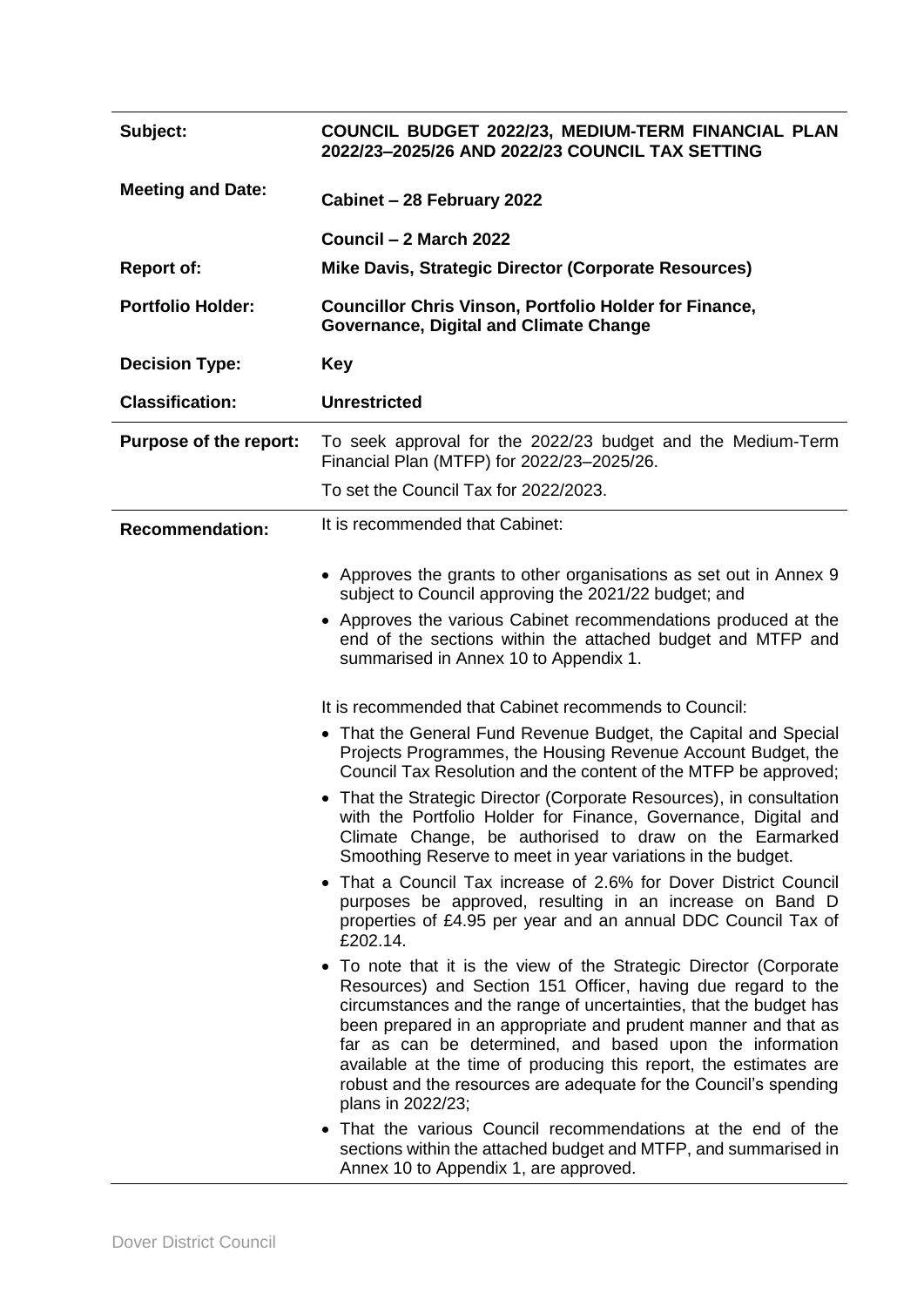| Subject:                 | COUNCIL BUDGET 2022/23, MEDIUM-TERM FINANCIAL PLAN<br>2022/23-2025/26 AND 2022/23 COUNCIL TAX SETTING                                                                                                                                                                                                                                                                                                                                                                                                                                                                                                                                                                                                                                                                                                                                                                                                                                                                                                                                                                                                                                                                                                                                                                                                                                                                                 |
|--------------------------|---------------------------------------------------------------------------------------------------------------------------------------------------------------------------------------------------------------------------------------------------------------------------------------------------------------------------------------------------------------------------------------------------------------------------------------------------------------------------------------------------------------------------------------------------------------------------------------------------------------------------------------------------------------------------------------------------------------------------------------------------------------------------------------------------------------------------------------------------------------------------------------------------------------------------------------------------------------------------------------------------------------------------------------------------------------------------------------------------------------------------------------------------------------------------------------------------------------------------------------------------------------------------------------------------------------------------------------------------------------------------------------|
| <b>Meeting and Date:</b> | Cabinet - 28 February 2022                                                                                                                                                                                                                                                                                                                                                                                                                                                                                                                                                                                                                                                                                                                                                                                                                                                                                                                                                                                                                                                                                                                                                                                                                                                                                                                                                            |
|                          | Council - 2 March 2022                                                                                                                                                                                                                                                                                                                                                                                                                                                                                                                                                                                                                                                                                                                                                                                                                                                                                                                                                                                                                                                                                                                                                                                                                                                                                                                                                                |
| <b>Report of:</b>        | Mike Davis, Strategic Director (Corporate Resources)                                                                                                                                                                                                                                                                                                                                                                                                                                                                                                                                                                                                                                                                                                                                                                                                                                                                                                                                                                                                                                                                                                                                                                                                                                                                                                                                  |
| <b>Portfolio Holder:</b> | <b>Councillor Chris Vinson, Portfolio Holder for Finance,</b><br><b>Governance, Digital and Climate Change</b>                                                                                                                                                                                                                                                                                                                                                                                                                                                                                                                                                                                                                                                                                                                                                                                                                                                                                                                                                                                                                                                                                                                                                                                                                                                                        |
| <b>Decision Type:</b>    | <b>Key</b>                                                                                                                                                                                                                                                                                                                                                                                                                                                                                                                                                                                                                                                                                                                                                                                                                                                                                                                                                                                                                                                                                                                                                                                                                                                                                                                                                                            |
| <b>Classification:</b>   | <b>Unrestricted</b>                                                                                                                                                                                                                                                                                                                                                                                                                                                                                                                                                                                                                                                                                                                                                                                                                                                                                                                                                                                                                                                                                                                                                                                                                                                                                                                                                                   |
| Purpose of the report:   | To seek approval for the 2022/23 budget and the Medium-Term<br>Financial Plan (MTFP) for 2022/23-2025/26.                                                                                                                                                                                                                                                                                                                                                                                                                                                                                                                                                                                                                                                                                                                                                                                                                                                                                                                                                                                                                                                                                                                                                                                                                                                                             |
|                          | To set the Council Tax for 2022/2023.                                                                                                                                                                                                                                                                                                                                                                                                                                                                                                                                                                                                                                                                                                                                                                                                                                                                                                                                                                                                                                                                                                                                                                                                                                                                                                                                                 |
| <b>Recommendation:</b>   | It is recommended that Cabinet:                                                                                                                                                                                                                                                                                                                                                                                                                                                                                                                                                                                                                                                                                                                                                                                                                                                                                                                                                                                                                                                                                                                                                                                                                                                                                                                                                       |
|                          | • Approves the grants to other organisations as set out in Annex 9<br>subject to Council approving the 2021/22 budget; and<br>• Approves the various Cabinet recommendations produced at the<br>end of the sections within the attached budget and MTFP and<br>summarised in Annex 10 to Appendix 1.                                                                                                                                                                                                                                                                                                                                                                                                                                                                                                                                                                                                                                                                                                                                                                                                                                                                                                                                                                                                                                                                                  |
|                          | It is recommended that Cabinet recommends to Council:<br>• That the General Fund Revenue Budget, the Capital and Special<br>Projects Programmes, the Housing Revenue Account Budget, the<br>Council Tax Resolution and the content of the MTFP be approved;<br>• That the Strategic Director (Corporate Resources), in consultation<br>with the Portfolio Holder for Finance, Governance, Digital and<br>Climate Change, be authorised to draw on the Earmarked<br>Smoothing Reserve to meet in year variations in the budget.<br>• That a Council Tax increase of 2.6% for Dover District Council<br>purposes be approved, resulting in an increase on Band D<br>properties of £4.95 per year and an annual DDC Council Tax of<br>£202.14.<br>• To note that it is the view of the Strategic Director (Corporate<br>Resources) and Section 151 Officer, having due regard to the<br>circumstances and the range of uncertainties, that the budget has<br>been prepared in an appropriate and prudent manner and that as<br>far as can be determined, and based upon the information<br>available at the time of producing this report, the estimates are<br>robust and the resources are adequate for the Council's spending<br>plans in 2022/23;<br>• That the various Council recommendations at the end of the<br>sections within the attached budget and MTFP, and summarised in |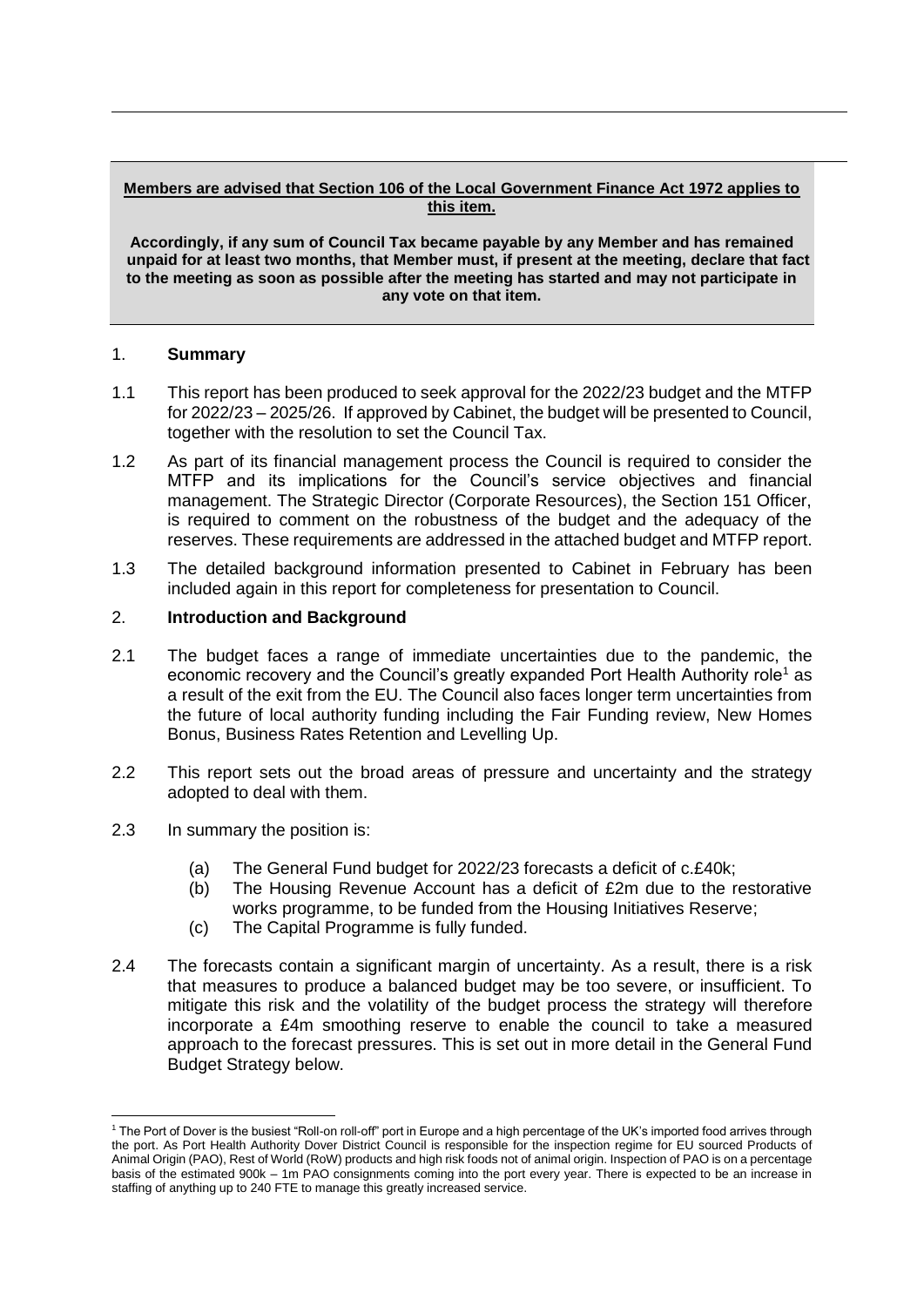#### **Members are advised that Section 106 of the Local Government Finance Act 1972 applies to this item.**

**Accordingly, if any sum of Council Tax became payable by any Member and has remained unpaid for at least two months, that Member must, if present at the meeting, declare that fact to the meeting as soon as possible after the meeting has started and may not participate in any vote on that item.**

#### 1. **Summary**

- 1.1 This report has been produced to seek approval for the 2022/23 budget and the MTFP for 2022/23 – 2025/26. If approved by Cabinet, the budget will be presented to Council, together with the resolution to set the Council Tax.
- 1.2 As part of its financial management process the Council is required to consider the MTFP and its implications for the Council's service objectives and financial management. The Strategic Director (Corporate Resources), the Section 151 Officer, is required to comment on the robustness of the budget and the adequacy of the reserves. These requirements are addressed in the attached budget and MTFP report.
- 1.3 The detailed background information presented to Cabinet in February has been included again in this report for completeness for presentation to Council.

#### 2. **Introduction and Background**

- 2.1 The budget faces a range of immediate uncertainties due to the pandemic, the economic recovery and the Council's greatly expanded Port Health Authority role<sup>1</sup> as a result of the exit from the EU. The Council also faces longer term uncertainties from the future of local authority funding including the Fair Funding review, New Homes Bonus, Business Rates Retention and Levelling Up.
- 2.2 This report sets out the broad areas of pressure and uncertainty and the strategy adopted to deal with them.
- 2.3 In summary the position is:

-

- (a) The General Fund budget for 2022/23 forecasts a deficit of c.£40k;
- (b) The Housing Revenue Account has a deficit of £2m due to the restorative works programme, to be funded from the Housing Initiatives Reserve;
- (c) The Capital Programme is fully funded.
- 2.4 The forecasts contain a significant margin of uncertainty. As a result, there is a risk that measures to produce a balanced budget may be too severe, or insufficient. To mitigate this risk and the volatility of the budget process the strategy will therefore incorporate a £4m smoothing reserve to enable the council to take a measured approach to the forecast pressures. This is set out in more detail in the General Fund Budget Strategy below.

<sup>1</sup> The Port of Dover is the busiest "Roll-on roll-off" port in Europe and a high percentage of the UK's imported food arrives through the port. As Port Health Authority Dover District Council is responsible for the inspection regime for EU sourced Products of Animal Origin (PAO), Rest of World (RoW) products and high risk foods not of animal origin. Inspection of PAO is on a percentage basis of the estimated 900k – 1m PAO consignments coming into the port every year. There is expected to be an increase in staffing of anything up to 240 FTE to manage this greatly increased service.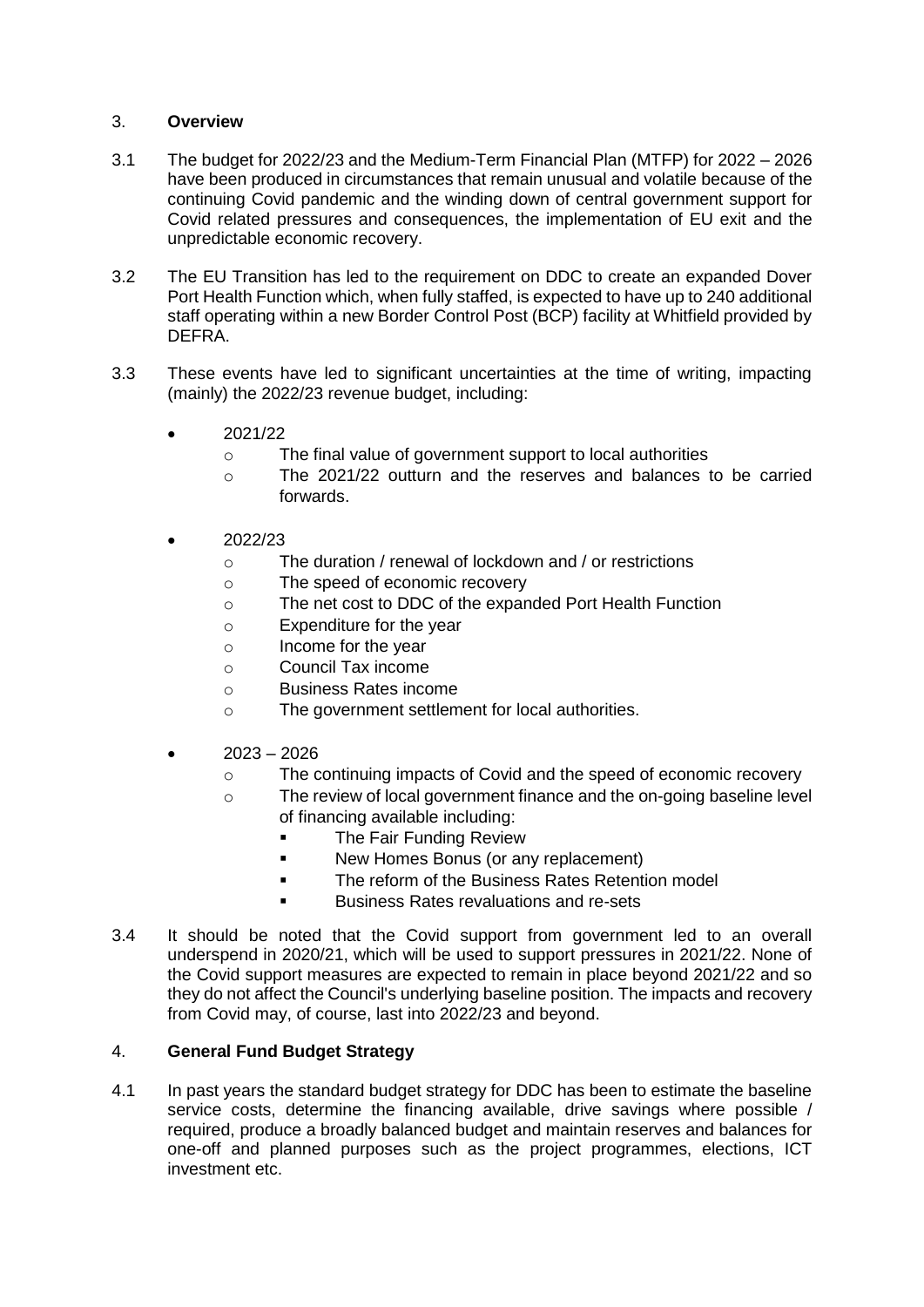## 3. **Overview**

- 3.1 The budget for 2022/23 and the Medium-Term Financial Plan (MTFP) for 2022 2026 have been produced in circumstances that remain unusual and volatile because of the continuing Covid pandemic and the winding down of central government support for Covid related pressures and consequences, the implementation of EU exit and the unpredictable economic recovery.
- 3.2 The EU Transition has led to the requirement on DDC to create an expanded Dover Port Health Function which, when fully staffed, is expected to have up to 240 additional staff operating within a new Border Control Post (BCP) facility at Whitfield provided by DEFRA.
- 3.3 These events have led to significant uncertainties at the time of writing, impacting (mainly) the 2022/23 revenue budget, including:
	- 2021/22
		- o The final value of government support to local authorities
		- o The 2021/22 outturn and the reserves and balances to be carried forwards.
	- 2022/23
		- o The duration / renewal of lockdown and / or restrictions
		- o The speed of economic recovery
		- o The net cost to DDC of the expanded Port Health Function
		- o Expenditure for the year
		- o Income for the year
		- o Council Tax income
		- o Business Rates income
		- o The government settlement for local authorities.
	- 2023 2026
		- o The continuing impacts of Covid and the speed of economic recovery
		- o The review of local government finance and the on-going baseline level of financing available including:
			- The Fair Funding Review
			- **New Homes Bonus (or any replacement)**
			- The reform of the Business Rates Retention model
			- Business Rates revaluations and re-sets
- 3.4 It should be noted that the Covid support from government led to an overall underspend in 2020/21, which will be used to support pressures in 2021/22. None of the Covid support measures are expected to remain in place beyond 2021/22 and so they do not affect the Council's underlying baseline position. The impacts and recovery from Covid may, of course, last into 2022/23 and beyond.

### 4. **General Fund Budget Strategy**

4.1 In past years the standard budget strategy for DDC has been to estimate the baseline service costs, determine the financing available, drive savings where possible / required, produce a broadly balanced budget and maintain reserves and balances for one-off and planned purposes such as the project programmes, elections, ICT investment etc.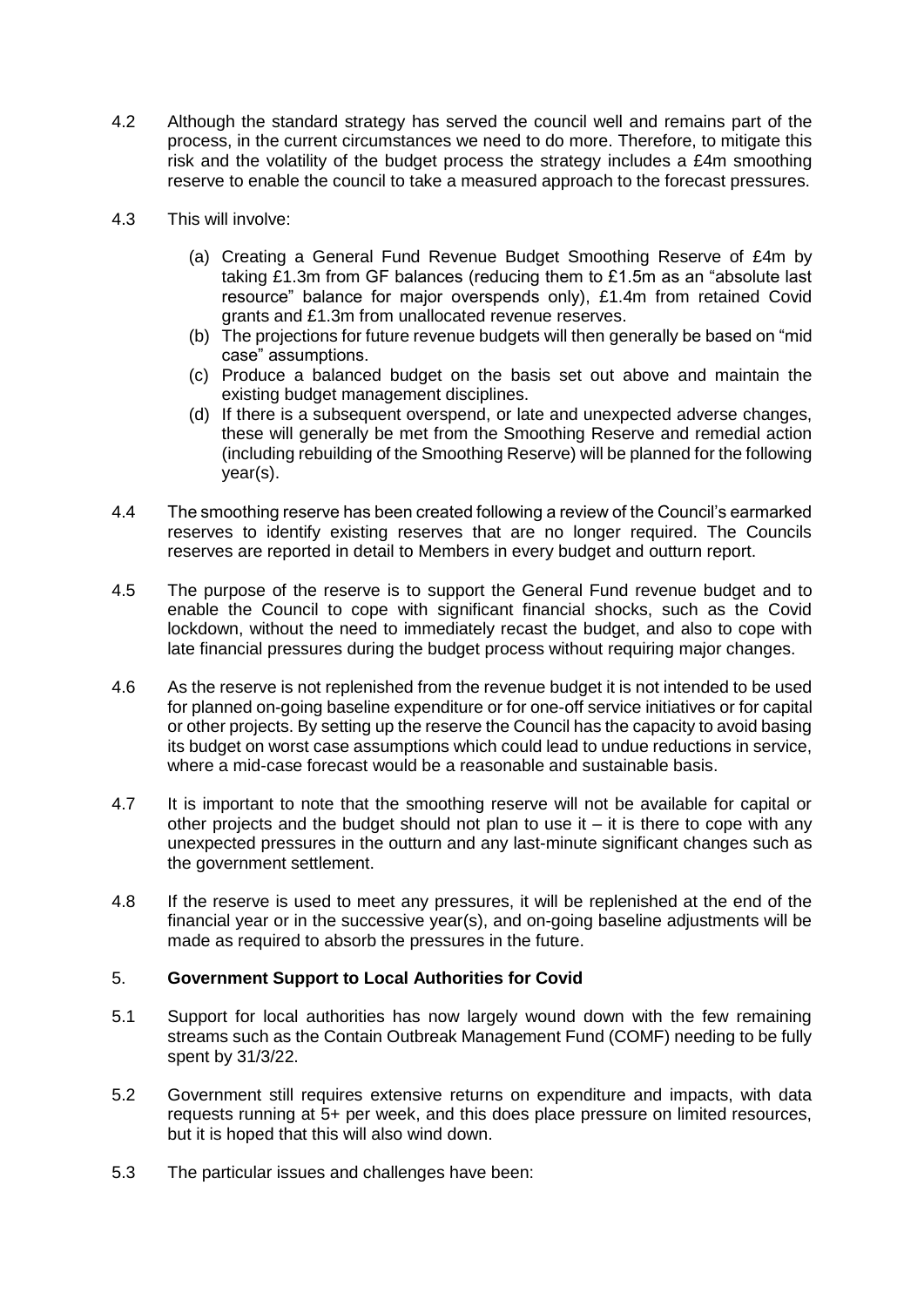- 4.2 Although the standard strategy has served the council well and remains part of the process, in the current circumstances we need to do more. Therefore, to mitigate this risk and the volatility of the budget process the strategy includes a £4m smoothing reserve to enable the council to take a measured approach to the forecast pressures.
- 4.3 This will involve:
	- (a) Creating a General Fund Revenue Budget Smoothing Reserve of £4m by taking £1.3m from GF balances (reducing them to £1.5m as an "absolute last resource" balance for major overspends only), £1.4m from retained Covid grants and £1.3m from unallocated revenue reserves.
	- (b) The projections for future revenue budgets will then generally be based on "mid case" assumptions.
	- (c) Produce a balanced budget on the basis set out above and maintain the existing budget management disciplines.
	- (d) If there is a subsequent overspend, or late and unexpected adverse changes, these will generally be met from the Smoothing Reserve and remedial action (including rebuilding of the Smoothing Reserve) will be planned for the following year(s).
- 4.4 The smoothing reserve has been created following a review of the Council's earmarked reserves to identify existing reserves that are no longer required. The Councils reserves are reported in detail to Members in every budget and outturn report.
- 4.5 The purpose of the reserve is to support the General Fund revenue budget and to enable the Council to cope with significant financial shocks, such as the Covid lockdown, without the need to immediately recast the budget, and also to cope with late financial pressures during the budget process without requiring major changes.
- 4.6 As the reserve is not replenished from the revenue budget it is not intended to be used for planned on-going baseline expenditure or for one-off service initiatives or for capital or other projects. By setting up the reserve the Council has the capacity to avoid basing its budget on worst case assumptions which could lead to undue reductions in service, where a mid-case forecast would be a reasonable and sustainable basis.
- 4.7 It is important to note that the smoothing reserve will not be available for capital or other projects and the budget should not plan to use it  $-$  it is there to cope with any unexpected pressures in the outturn and any last-minute significant changes such as the government settlement.
- 4.8 If the reserve is used to meet any pressures, it will be replenished at the end of the financial year or in the successive year(s), and on-going baseline adjustments will be made as required to absorb the pressures in the future.

### 5. **Government Support to Local Authorities for Covid**

- 5.1 Support for local authorities has now largely wound down with the few remaining streams such as the Contain Outbreak Management Fund (COMF) needing to be fully spent by 31/3/22.
- 5.2 Government still requires extensive returns on expenditure and impacts, with data requests running at 5+ per week, and this does place pressure on limited resources, but it is hoped that this will also wind down.
- 5.3 The particular issues and challenges have been: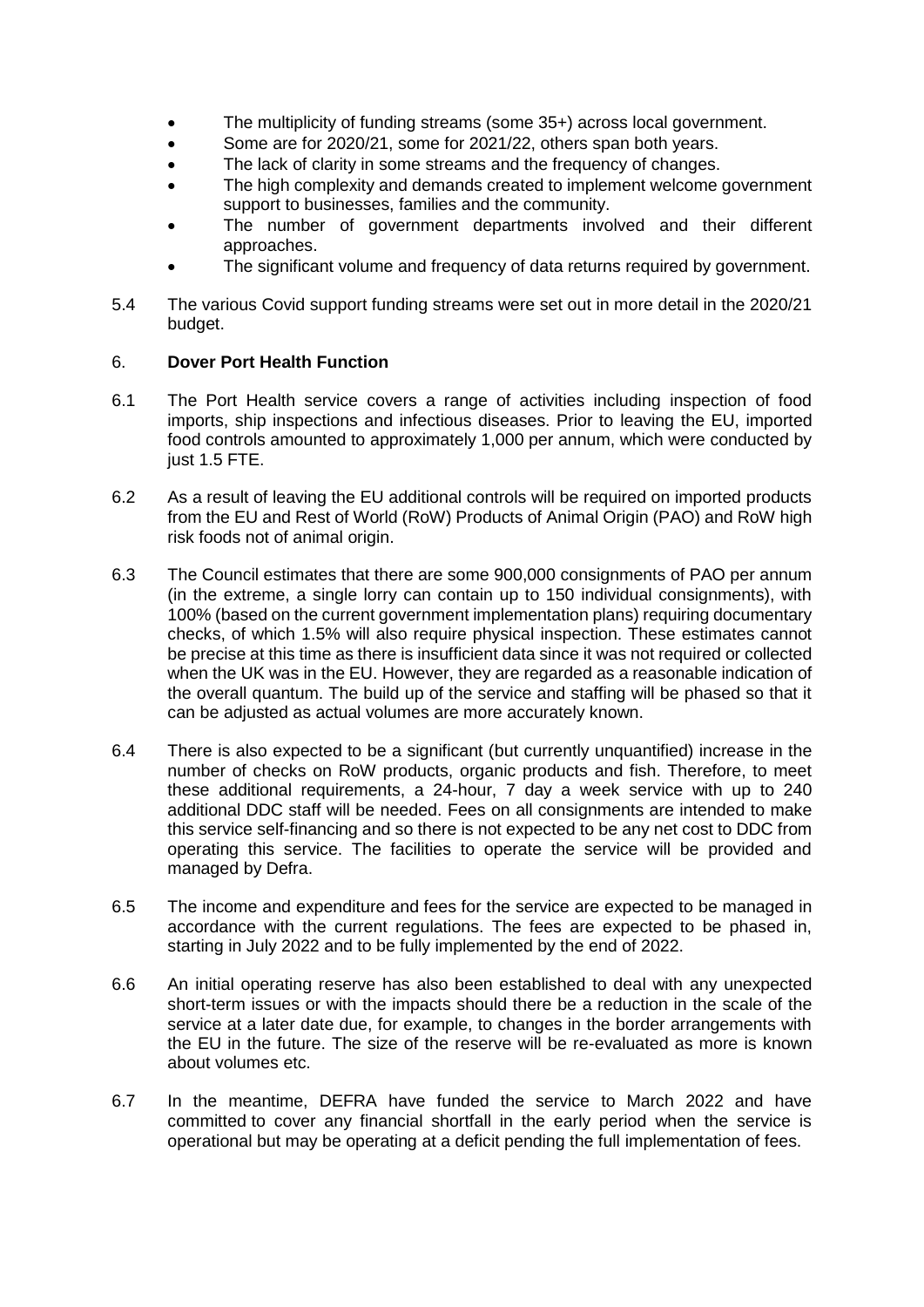- The multiplicity of funding streams (some 35+) across local government.
- Some are for 2020/21, some for 2021/22, others span both years.
- The lack of clarity in some streams and the frequency of changes.
- The high complexity and demands created to implement welcome government support to businesses, families and the community.
- The number of government departments involved and their different approaches.
- The significant volume and frequency of data returns required by government.
- 5.4 The various Covid support funding streams were set out in more detail in the 2020/21 budget.

### 6. **Dover Port Health Function**

- 6.1 The Port Health service covers a range of activities including inspection of food imports, ship inspections and infectious diseases. Prior to leaving the EU, imported food controls amounted to approximately 1,000 per annum, which were conducted by just 1.5 FTE.
- 6.2 As a result of leaving the EU additional controls will be required on imported products from the EU and Rest of World (RoW) Products of Animal Origin (PAO) and RoW high risk foods not of animal origin.
- 6.3 The Council estimates that there are some 900,000 consignments of PAO per annum (in the extreme, a single lorry can contain up to 150 individual consignments), with 100% (based on the current government implementation plans) requiring documentary checks, of which 1.5% will also require physical inspection. These estimates cannot be precise at this time as there is insufficient data since it was not required or collected when the UK was in the EU. However, they are regarded as a reasonable indication of the overall quantum. The build up of the service and staffing will be phased so that it can be adjusted as actual volumes are more accurately known.
- 6.4 There is also expected to be a significant (but currently unquantified) increase in the number of checks on RoW products, organic products and fish. Therefore, to meet these additional requirements, a 24-hour, 7 day a week service with up to 240 additional DDC staff will be needed. Fees on all consignments are intended to make this service self-financing and so there is not expected to be any net cost to DDC from operating this service. The facilities to operate the service will be provided and managed by Defra.
- 6.5 The income and expenditure and fees for the service are expected to be managed in accordance with the current regulations. The fees are expected to be phased in, starting in July 2022 and to be fully implemented by the end of 2022.
- 6.6 An initial operating reserve has also been established to deal with any unexpected short-term issues or with the impacts should there be a reduction in the scale of the service at a later date due, for example, to changes in the border arrangements with the EU in the future. The size of the reserve will be re-evaluated as more is known about volumes etc.
- 6.7 In the meantime, DEFRA have funded the service to March 2022 and have committed to cover any financial shortfall in the early period when the service is operational but may be operating at a deficit pending the full implementation of fees.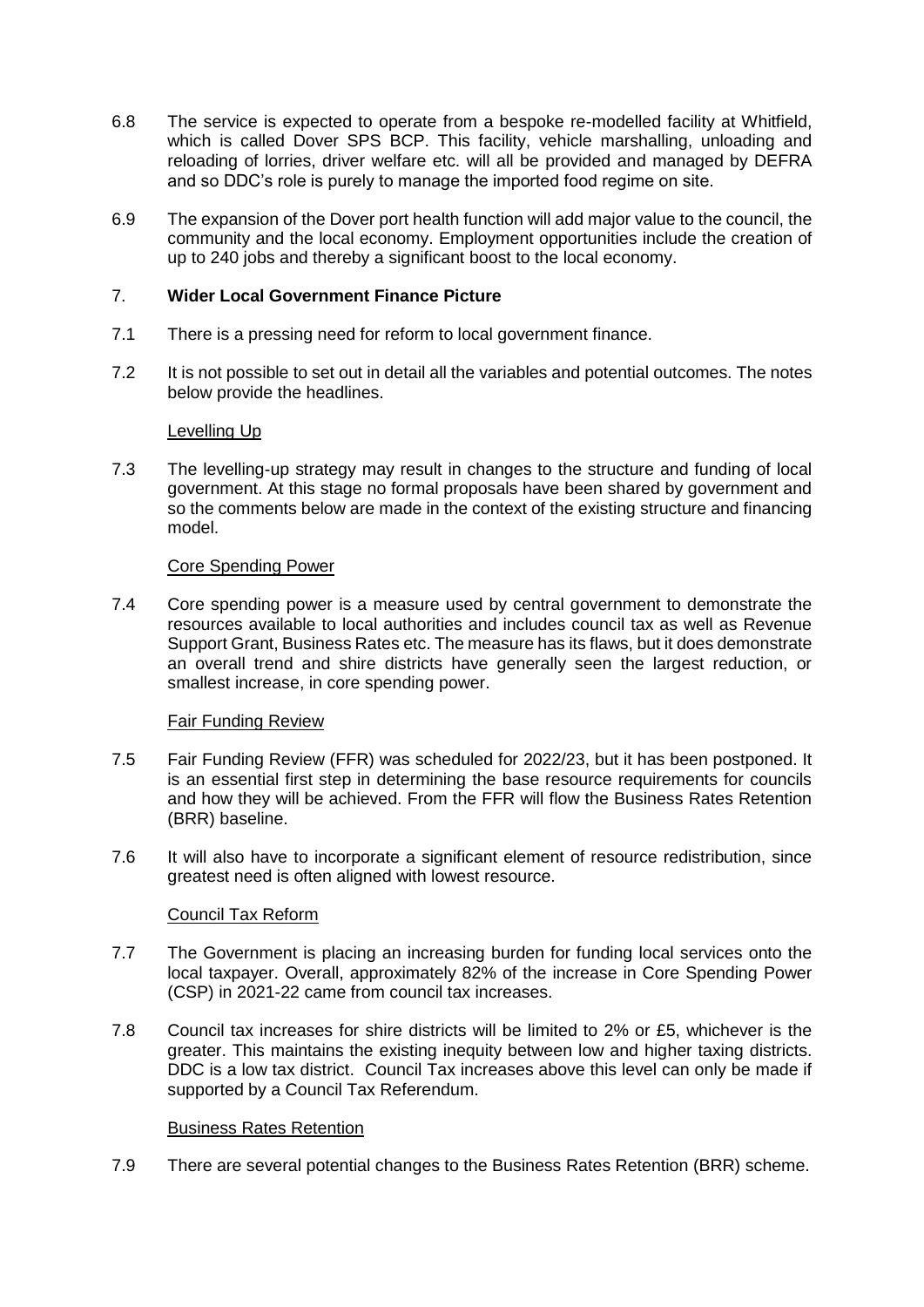- 6.8 The service is expected to operate from a bespoke re-modelled facility at Whitfield, which is called Dover SPS BCP. This facility, vehicle marshalling, unloading and reloading of lorries, driver welfare etc. will all be provided and managed by DEFRA and so DDC's role is purely to manage the imported food regime on site.
- 6.9 The expansion of the Dover port health function will add major value to the council, the community and the local economy. Employment opportunities include the creation of up to 240 jobs and thereby a significant boost to the local economy.

## 7. **Wider Local Government Finance Picture**

- 7.1 There is a pressing need for reform to local government finance.
- 7.2 It is not possible to set out in detail all the variables and potential outcomes. The notes below provide the headlines.

#### Levelling Up

7.3 The levelling-up strategy may result in changes to the structure and funding of local government. At this stage no formal proposals have been shared by government and so the comments below are made in the context of the existing structure and financing model.

#### Core Spending Power

7.4 Core spending power is a measure used by central government to demonstrate the resources available to local authorities and includes council tax as well as Revenue Support Grant, Business Rates etc. The measure has its flaws, but it does demonstrate an overall trend and shire districts have generally seen the largest reduction, or smallest increase, in core spending power.

### Fair Funding Review

- 7.5 Fair Funding Review (FFR) was scheduled for 2022/23, but it has been postponed. It is an essential first step in determining the base resource requirements for councils and how they will be achieved. From the FFR will flow the Business Rates Retention (BRR) baseline.
- 7.6 It will also have to incorporate a significant element of resource redistribution, since greatest need is often aligned with lowest resource.

### Council Tax Reform

- 7.7 The Government is placing an increasing burden for funding local services onto the local taxpayer. Overall, approximately 82% of the increase in Core Spending Power (CSP) in 2021-22 came from council tax increases.
- 7.8 Council tax increases for shire districts will be limited to 2% or £5, whichever is the greater. This maintains the existing inequity between low and higher taxing districts. DDC is a low tax district. Council Tax increases above this level can only be made if supported by a Council Tax Referendum.

### Business Rates Retention

7.9 There are several potential changes to the Business Rates Retention (BRR) scheme.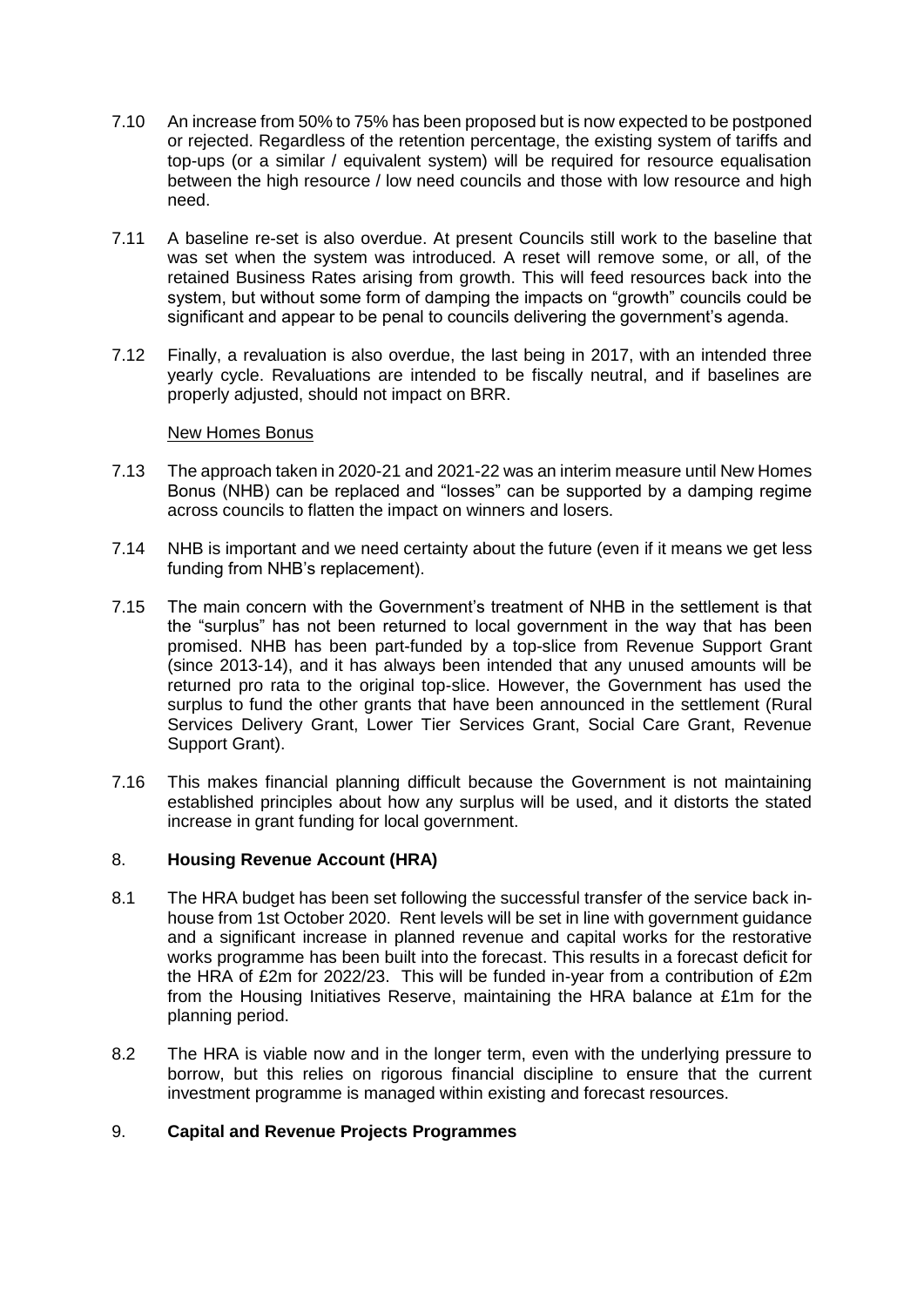- 7.10 An increase from 50% to 75% has been proposed but is now expected to be postponed or rejected. Regardless of the retention percentage, the existing system of tariffs and top-ups (or a similar / equivalent system) will be required for resource equalisation between the high resource / low need councils and those with low resource and high need.
- 7.11 A baseline re-set is also overdue. At present Councils still work to the baseline that was set when the system was introduced. A reset will remove some, or all, of the retained Business Rates arising from growth. This will feed resources back into the system, but without some form of damping the impacts on "growth" councils could be significant and appear to be penal to councils delivering the government's agenda.
- 7.12 Finally, a revaluation is also overdue, the last being in 2017, with an intended three yearly cycle. Revaluations are intended to be fiscally neutral, and if baselines are properly adjusted, should not impact on BRR.

#### New Homes Bonus

- 7.13 The approach taken in 2020-21 and 2021-22 was an interim measure until New Homes Bonus (NHB) can be replaced and "losses" can be supported by a damping regime across councils to flatten the impact on winners and losers.
- 7.14 NHB is important and we need certainty about the future (even if it means we get less funding from NHB's replacement).
- 7.15 The main concern with the Government's treatment of NHB in the settlement is that the "surplus" has not been returned to local government in the way that has been promised. NHB has been part-funded by a top-slice from Revenue Support Grant (since 2013-14), and it has always been intended that any unused amounts will be returned pro rata to the original top-slice. However, the Government has used the surplus to fund the other grants that have been announced in the settlement (Rural Services Delivery Grant, Lower Tier Services Grant, Social Care Grant, Revenue Support Grant).
- 7.16 This makes financial planning difficult because the Government is not maintaining established principles about how any surplus will be used, and it distorts the stated increase in grant funding for local government.

## 8. **Housing Revenue Account (HRA)**

- 8.1 The HRA budget has been set following the successful transfer of the service back inhouse from 1st October 2020. Rent levels will be set in line with government guidance and a significant increase in planned revenue and capital works for the restorative works programme has been built into the forecast. This results in a forecast deficit for the HRA of £2m for 2022/23. This will be funded in-year from a contribution of £2m from the Housing Initiatives Reserve, maintaining the HRA balance at £1m for the planning period.
- 8.2 The HRA is viable now and in the longer term, even with the underlying pressure to borrow, but this relies on rigorous financial discipline to ensure that the current investment programme is managed within existing and forecast resources.

## 9. **Capital and Revenue Projects Programmes**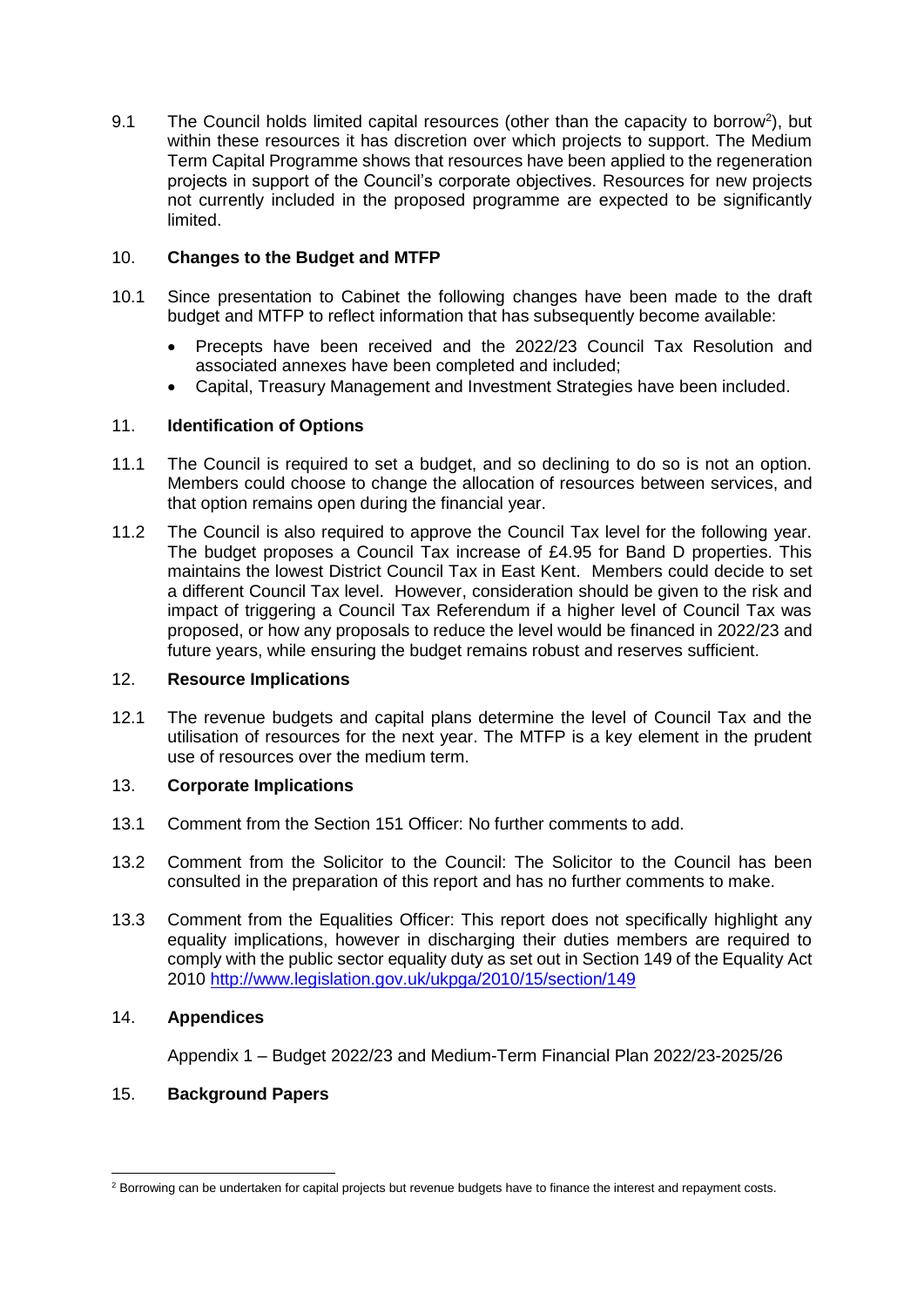9.1 The Council holds limited capital resources (other than the capacity to borrow<sup>2</sup>), but within these resources it has discretion over which projects to support. The Medium Term Capital Programme shows that resources have been applied to the regeneration projects in support of the Council's corporate objectives. Resources for new projects not currently included in the proposed programme are expected to be significantly limited.

## 10. **Changes to the Budget and MTFP**

- 10.1 Since presentation to Cabinet the following changes have been made to the draft budget and MTFP to reflect information that has subsequently become available:
	- Precepts have been received and the 2022/23 Council Tax Resolution and associated annexes have been completed and included;
	- Capital, Treasury Management and Investment Strategies have been included.

## 11. **Identification of Options**

- 11.1 The Council is required to set a budget, and so declining to do so is not an option. Members could choose to change the allocation of resources between services, and that option remains open during the financial year.
- 11.2 The Council is also required to approve the Council Tax level for the following year. The budget proposes a Council Tax increase of £4.95 for Band D properties. This maintains the lowest District Council Tax in East Kent. Members could decide to set a different Council Tax level. However, consideration should be given to the risk and impact of triggering a Council Tax Referendum if a higher level of Council Tax was proposed, or how any proposals to reduce the level would be financed in 2022/23 and future years, while ensuring the budget remains robust and reserves sufficient.

## 12. **Resource Implications**

12.1 The revenue budgets and capital plans determine the level of Council Tax and the utilisation of resources for the next year. The MTFP is a key element in the prudent use of resources over the medium term.

### 13. **Corporate Implications**

- 13.1 Comment from the Section 151 Officer: No further comments to add.
- 13.2 Comment from the Solicitor to the Council: The Solicitor to the Council has been consulted in the preparation of this report and has no further comments to make.
- 13.3 Comment from the Equalities Officer: This report does not specifically highlight any equality implications, however in discharging their duties members are required to comply with the public sector equality duty as set out in Section 149 of the Equality Act 2010 [http://www.legislation.gov.uk/ukpga/2010/15/section/149](https://gbr01.safelinks.protection.outlook.com/?url=http%3A%2F%2Fwww.legislation.gov.uk%2Fukpga%2F2010%2F15%2Fsection%2F149&data=04%7C01%7CHelen.Lamb%40DOVER.GOV.UK%7Cc279634ed6364d91f83008d9dfe924eb%7C97d0cb53199d4c70a001375e8c953735%7C0%7C0%7C637787014696447506%7CUnknown%7CTWFpbGZsb3d8eyJWIjoiMC4wLjAwMDAiLCJQIjoiV2luMzIiLCJBTiI6Ik1haWwiLCJXVCI6Mn0%3D%7C3000&sdata=rhz%2BbWBZ%2Fi%2F3GyyC8zkhIsYNKiIlMi99KYhsEmg6wqE%3D&reserved=0)

# 14. **Appendices**

-

Appendix 1 – Budget 2022/23 and Medium-Term Financial Plan 2022/23-2025/26

# 15. **Background Papers**

<sup>&</sup>lt;sup>2</sup> Borrowing can be undertaken for capital projects but revenue budgets have to finance the interest and repayment costs.